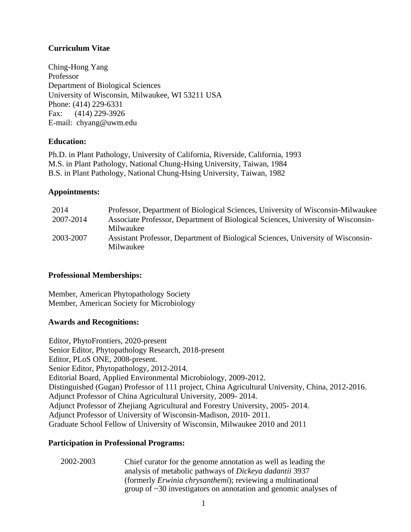# **Curriculum Vitae**

Ching-Hong Yang Professor Department of Biological Sciences University of Wisconsin, Milwaukee, WI 53211 USA Phone: (414) 229-6331 Fax: (414) 229-3926 E-mail: [chyang@uwm.edu](mailto:chyang@uwm.edu)

## **Education:**

Ph.D. in Plant Pathology, University of California, Riverside, California, 1993 M.S. in Plant Pathology, National Chung-Hsing University, Taiwan, 1984 B.S. in Plant Pathology, National Chung-Hsing University, Taiwan, 1982

### **Appointments:**

| 2014      | Professor, Department of Biological Sciences, University of Wisconsin-Milwaukee  |
|-----------|----------------------------------------------------------------------------------|
| 2007-2014 | Associate Professor, Department of Biological Sciences, University of Wisconsin- |
|           | Milwaukee                                                                        |
| 2003-2007 | Assistant Professor, Department of Biological Sciences, University of Wisconsin- |
|           | Milwaukee                                                                        |

### **Professional Memberships:**

Member, American Phytopathology Society Member, American Society for Microbiology

# **Awards and Recognitions:**

Editor, PhytoFrontiers, 2020-present Senior Editor, Phytopathology Research, 2018-present Editor, PLoS ONE, 2008-present. Senior Editor, Phytopathology, 2012-2014. Editorial Board, Applied Environmental Microbiology, 2009-2012. Distinguished (Gugan) Professor of 111 project, China Agricultural University, China, 2012-2016. Adjunct Professor of China Agricultural University, 2009- 2014. Adjunct Professor of Zhejiang Agricultural and Forestry University, 2005- 2014. Adjunct Professor of University of Wisconsin-Madison, 2010- 2011. Graduate School Fellow of University of Wisconsin, Milwaukee 2010 and 2011

### **Participation in Professional Programs:**

2002-2003 Chief curator for the genome annotation as well as leading the analysis of metabolic pathways of *Dickeya dadantii* 3937 (formerly *Erwinia chrysanthemi*); reviewing a multinational group of ~30 investigators on annotation and genomic analyses of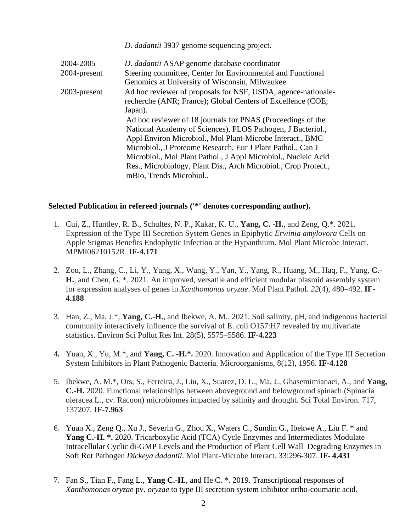*D. dadantii* 3937 genome sequencing project.

| 2004-2005    | D. dadantii ASAP genome database coordinator                    |
|--------------|-----------------------------------------------------------------|
| 2004-present | Steering committee, Center for Environmental and Functional     |
|              | Genomics at University of Wisconsin, Milwaukee                  |
| 2003-present | Ad hoc reviewer of proposals for NSF, USDA, agence-nationale-   |
|              | recherche (ANR; France); Global Centers of Excellence (COE;     |
|              | Japan).                                                         |
|              | Ad hoc reviewer of 18 journals for PNAS (Proceedings of the     |
|              | National Academy of Sciences), PLOS Pathogen, J Bacteriol.,     |
|              | Appl Environ Microbiol., Mol Plant-Microbe Interact., BMC       |
|              | Microbiol., J Proteome Research, Eur J Plant Pathol., Can J     |
|              | Microbiol., Mol Plant Pathol., J Appl Microbiol., Nucleic Acid  |
|              | Res., Microbiology, Plant Dis., Arch Microbiol., Crop Protect., |
|              | mBio, Trends Microbiol                                          |

## **Selected Publication in refereed journals ('\*' denotes corresponding author).**

- 1. Cui, Z., Huntley, R. B., Schultes, N. P., Kakar, K. U., **Yang, C. -H.**, and Zeng, Q.\*. 2021. Expression of the Type III Secretion System Genes in Epiphytic *Erwinia amylovora* Cells on Apple Stigmas Benefits Endophytic Infection at the Hypanthium. Mol Plant Microbe Interact. MPMI06210152R. **IF-4.171**
- 2. Zou, L., Zhang, C., Li, Y., Yang, X., Wang, Y., Yan, Y., Yang, R., Huang, M., Haq, F., Yang, **C.- H.**, and Chen, G. \*. 2021. An improved, versatile and efficient modular plasmid assembly system for expression analyses of genes in *Xanthomonas oryzae*. Mol Plant Pathol. *22*(4), 480–492. **IF-4.188**
- 3. Han, Z., Ma, J.\*, **Yang, C.-H.**, and Ibekwe, A. M.. 2021. Soil salinity, pH, and indigenous bacterial community interactively influence the survival of E. coli O157:H7 revealed by multivariate statistics. Environ Sci Pollut Res Int. 28(5), 5575–5586. **IF-4.223**
- **4.** Yuan, X., Yu, M.\*, and **Yang, C. -H.\*.** 2020. Innovation and Application of the Type III Secretion System Inhibitors in Plant Pathogenic Bacteria. Microorganisms, 8(12), 1956. **IF-4.128**
- 5. Ibekwe, A. M.\*, Ors, S., Ferreira, J., Liu, X., Suarez, D. L., Ma, J., Ghasemimianaei, A., and **Yang, C.-H.** 2020. Functional relationships between aboveground and belowground spinach (Spinacia oleracea L., cv. Racoon) microbiomes impacted by salinity and drought. Sci Total Environ. 717, 137207. **IF-7.963**
- 6. Yuan X., Zeng Q., Xu J., Severin G., Zhou X., Waters C., Sundin G., Ibekwe A., Liu F. \* and Yang C.-H. \*. 2020. Tricarboxylic Acid (TCA) Cycle Enzymes and Intermediates Modulate Intracellular Cyclic di-GMP Levels and the Production of Plant Cell Wall–Degrading Enzymes in Soft Rot Pathogen *Dickeya dadantii*. Mol Plant-Microbe Interact. 33:296-307. **IF- 4.431**
- 7. Fan S., Tian F., Fang L., **Yang C.-H.**, and He C. \*. 2019. Transcriptional responses of *Xanthomonas oryzae* pv. *oryzae* to type III secretion system inhibitor ortho-coumaric acid.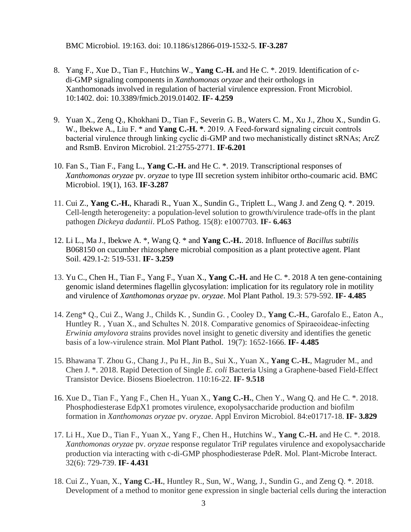BMC Microbiol. 19:163. doi: 10.1186/s12866-019-1532-5. **IF-3.287**

- 8. Yang F., Xue D., Tian F., Hutchins W., **Yang C.-H.** and He C. \*. 2019. Identification of cdi-GMP signaling components in *Xanthomonas oryzae* and their orthologs in Xanthomonads involved in regulation of bacterial virulence expression. Front Microbiol. 10:1402. doi: 10.3389/fmicb.2019.01402. **IF- 4.259**
- 9. Yuan X., Zeng Q., Khokhani D., Tian F., Severin G. B., Waters C. M., Xu J., Zhou X., Sundin G. W., Ibekwe A., Liu F. \* and **Yang C.-H.** \*. 2019. A Feed-forward signaling circuit controls bacterial virulence through linking cyclic di‐GMP and two mechanistically distinct sRNAs; ArcZ and RsmB. Environ Microbiol. 21:2755-2771. **IF-6.201**
- 10. Fan S., Tian F., Fang L., **Yang C.-H.** and He C. \*. 2019. Transcriptional responses of *Xanthomonas oryzae* pv. *oryzae* to type III secretion system inhibitor ortho-coumaric acid. BMC Microbiol. 19(1), 163. **IF-3.287**
- 11. Cui Z., **Yang C.-H.**, Kharadi R., Yuan X., Sundin G., Triplett L., Wang J. and Zeng Q. \*. 2019. Cell-length heterogeneity: a population-level solution to growth/virulence trade-offs in the plant pathogen *Dickeya dadantii*. PLoS Pathog. 15(8): e1007703. **IF- 6.463**
- 12. Li L., Ma J., Ibekwe A. \*, Wang Q. \* and **Yang C.-H.**. 2018. Influence of *Bacillus subtilis* B068150 on cucumber rhizosphere microbial composition as a plant protective agent. Plant Soil. 429.1-2: 519-531. **IF- 3.259**
- 13. Yu C., Chen H., Tian F., Yang F., Yuan X., **Yang C.-H.** and He C. \*. 2018 A ten gene-containing genomic island determines flagellin glycosylation: implication for its regulatory role in motility and virulence of *Xanthomonas oryzae* pv. *oryzae*. Mol Plant Pathol. 19.3: 579-592. **IF- 4.485**
- 14. Zeng\* Q., Cui Z., Wang J., Childs K. , Sundin G. , Cooley D., **Yang C.-H.**, Garofalo E., Eaton A., Huntley R. , Yuan X., and Schultes N. 2018. Comparative genomics of Spiraeoideae‐infecting *Erwinia amylovora* strains provides novel insight to genetic diversity and identifies the genetic basis of a low‐virulence strain. Mol Plant Pathol. 19(7): 1652-1666. **IF- 4.485**
- 15. Bhawana T. Zhou G., Chang J., Pu H., Jin B., Sui X., Yuan X., **Yang C.-H.**, Magruder M., and Chen J. \*. 2018. Rapid Detection of Single *E. coli* Bacteria Using a Graphene-based Field-Effect Transistor Device. Biosens Bioelectron. 110:16-22. **IF- 9.518**
- 16. Xue D., Tian F., Yang F., Chen H., Yuan X., **Yang C.-H.**, Chen Y., Wang Q. and He C. \*. 2018. Phosphodiesterase EdpX1 promotes virulence, exopolysaccharide production and biofilm formation in *Xanthomonas oryzae* pv. *oryzae*. Appl Environ Microbiol. 84:e01717-18. **IF- 3.829**
- 17. Li H., Xue D., Tian F., Yuan X., Yang F., Chen H., Hutchins W., **Yang C.-H.** and He C. \*. 2018. *Xanthomonas oryzae* pv. *oryzae* response regulator TriP regulates virulence and exopolysaccharide production via interacting with c-di-GMP phosphodiesterase PdeR. Mol. Plant-Microbe Interact. 32(6): 729-739. **IF- 4.431**
- 18. Cui Z., Yuan, X., **Yang C.-H.**, Huntley R., Sun, W., Wang, J., Sundin G., and Zeng Q. \*. 2018. Development of a method to monitor gene expression in single bacterial cells during the interaction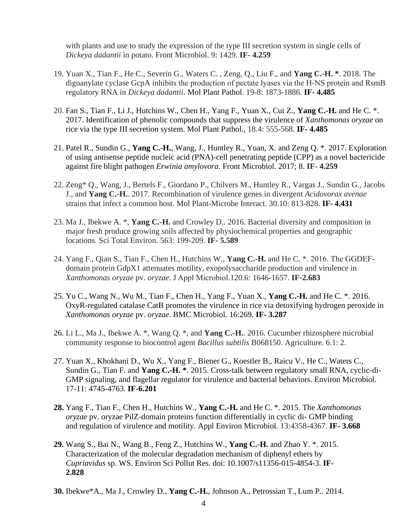with plants and use to study the expression of the type III secretion system in single cells of *Dickeya dadantii* in potato. Front Microbiol. 9: 1429. **IF- 4.259**

- 19. Yuan X., Tian F., He C., Severin G., Waters C. , Zeng, Q., Liu F., and **Yang C.-H. \***. 2018. The diguanylate cyclase GcpA inhibits the production of pectate lyases via the H‐NS protein and RsmB regulatory RNA in *Dickeya dadantii*. Mol Plant Pathol. 19-8: 1873-1886. **IF- 4.485**
- 20. Fan S., Tian F., Li J., Hutchins W., Chen H., Yang F., Yuan X., Cui Z., **Yang C.-H.** and He C. \*. 2017. Identification of phenolic compounds that suppress the virulence of *Xanthomonas oryzae* on rice via the type III secretion system. Mol Plant Pathol., 18.4: 555-568. **IF- 4.485**
- 21. Patel R., Sundin G., **Yang C.-H.**, Wang, J., Huntley R., Yuan, X. and Zeng Q. \*. 2017. Exploration of using antisense peptide nucleic acid (PNA)-cell penetrating peptide (CPP) as a novel bactericide against fire blight pathogen *Erwinia amylovora*. Front Microbiol. 2017; 8. **IF- 4.259**
- 22. Zeng\* Q., Wang, J., Bertels F., Giordano P., Chilvers M., Huntley R., Vargas J., Sundin G., Jacobs J., and **Yang C.-H.**. 2017. Recombination of virulence genes in divergent *Acidovorax avenae* strains that infect a common host. Mol Plant-Microbe Interact. 30.10: 813-828. **IF- 4.431**
- 23. Ma J., Ibekwe A. \*, **Yang C.-H.** and Crowley D.. 2016. Bacterial diversity and composition in major fresh produce growing soils affected by physiochemical properties and geographic locations. Sci Total Environ. 563: 199-209. **IF- 5.589**
- 24. Yang F., Qian S., Tian F., Chen H., Hutchins W., **Yang C.-H.** and He C. \*. 2016. The GGDEF‐ domain protein GdpX1 attenuates motility, exopolysaccharide production and virulence in *Xanthomonas oryzae* pv. *oryzae*. J Appl Microbiol.120.6: 1646-1657. **IF-2.683**
- 25. Yu C., Wang N., Wu M., Tian F., Chen H., Yang F., Yuan X., **Yang C.-H.** and He C. \*. 2016. OxyR-regulated catalase CatB promotes the virulence in rice via detoxifying hydrogen peroxide in *Xanthomonas oryzae* pv. *oryzae*. BMC Microbiol. 16:269. **IF- 3.287**
- 26. Li L., Ma J., Ibekwe A. \*, Wang Q. \*, and **Yang C.-H.**. 2016. Cucumber rhizosphere microbial community response to biocontrol agent *Bacillus subtilis* B068150. Agriculture*.* 6.1: 2.
- 27. Yuan X., Khokhani D., Wu X., Yang F., Biener G., Koestler B., Raicu V., He C., Waters C., Sundin G., Tian F. and **Yang C.-H. \***. 2015. Cross-talk between regulatory small RNA, cyclic-di-GMP signaling, and flagellar regulator for virulence and bacterial behaviors. Environ Microbiol. 17-11: 4745-4763. **IF-6.201**
- **28.** Yang F., Tian F., Chen H., Hutchins W., **Yang C.-H.** and He C. \*. 2015. The *Xanthomonas oryzae* pv. oryzae PilZ-domain proteins function differentially in cyclic di- GMP binding and regulation of virulence and motility. Appl Environ Microbiol. 13:4358-4367. **IF- 3.668**
- **29.** Wang S., Bai N., Wang B., Feng Z., Hutchins W., **Yang C.-H.** and Zhao Y. \*. 2015. Characterization of the molecular degradation mechanism of diphenyl ethers by *Cupriavidus* sp. WS. Environ Sci Pollut Res. doi: 10.1007/s11356-015-4854-3. **IF-2.828**
- **30.** Ibekwe\*A., Ma J., Crowley D., **Yang C.-H.**, Johnson A., Petrossian T., Lum P.. 2014.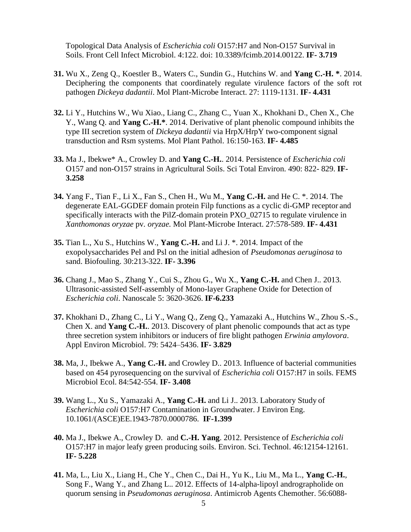Topological Data Analysis of *Escherichia coli* O157:H7 and Non-O157 Survival in Soils. Front Cell Infect Microbiol. 4:122. doi: 10.3389/fcimb.2014.00122. **IF- 3.719**

- **31.** Wu X., Zeng Q., Koestler B., Waters C., Sundin G., Hutchins W. and **Yang C.-H. \***. 2014. Deciphering the components that coordinately regulate virulence factors of the soft rot pathogen *Dickeya dadantii*. Mol Plant-Microbe Interact. 27: 1119-1131. **IF- 4.431**
- **32.** Li Y., Hutchins W., Wu Xiao., Liang C., Zhang C., Yuan X., Khokhani D., Chen X., Che Y., Wang Q. and **Yang C.-H.\***. 2014. Derivative of plant phenolic compound inhibits the type III secretion system of *Dickeya dadantii* via HrpX/HrpY two-component signal transduction and Rsm systems. Mol Plant Pathol. 16:150-163. **IF- 4.485**
- **33.** Ma J., Ibekwe\* A., Crowley D. and **Yang C.-H.**. 2014. Persistence of *Escherichia coli*  O157 and non-O157 strains in Agricultural Soils. Sci Total Environ. 490: 822- 829. **IF-3.258**
- **34.** Yang F., Tian F., Li X., Fan S., Chen H., Wu M., **Yang C.-H.** and He C. \*. 2014. The degenerate EAL-GGDEF domain protein Filp functions as a cyclic di-GMP receptor and specifically interacts with the PilZ-domain protein PXO\_02715 to regulate virulence in *Xanthomonas oryzae* pv*. oryzae.* Mol Plant-Microbe Interact. 27:578-589. **IF- 4.431**
- **35.** Tian L., Xu S., Hutchins W., **Yang C.-H.** and Li J. \*. 2014. Impact of the exopolysaccharides Pel and Psl on the initial adhesion of *Pseudomonas aeruginosa* to sand. Biofouling. 30:213-322. **IF- 3.396**
- **36.** Chang J., Mao S., Zhang Y., Cui S., Zhou G., Wu X., **Yang C.-H.** and Chen J.. 2013. Ultrasonic-assisted Self-assembly of Mono-layer Graphene Oxide for Detection of *Escherichia coli*. Nanoscale 5: 3620-3626. **IF-6.233**
- **37.** Khokhani D., Zhang C., Li Y., Wang Q., Zeng Q., Yamazaki A., Hutchins W., Zhou S.-S., Chen X. and **Yang C.-H.**. 2013. Discovery of plant phenolic compounds that act as type three secretion system inhibitors or inducers of fire blight pathogen *Erwinia amylovora*. Appl Environ Microbiol. 79: 5424–5436. **IF- 3.829**
- **38.** Ma, J., Ibekwe A., **Yang C.-H.** and Crowley D.. 2013. Influence of bacterial communities based on 454 pyrosequencing on the survival of *Escherichia coli* O157:H7 in soils. FEMS Microbiol Ecol. 84:542-554. **IF- 3.408**
- **39.** Wang L., Xu S., Yamazaki A., **Yang C.-H.** and Li J.. 2013. Laboratory Study of *Escherichia coli* O157:H7 Contamination in Groundwater. J Environ Eng. 10.1061/(ASCE)EE.1943-7870.0000786. **IF-1.399**
- **40.** Ma J., Ibekwe A., Crowley D. and **C.-H. Yang**. 2012. Persistence of *Escherichia coli*  O157:H7 in major leafy green producing soils. Environ. Sci. Technol. 46:12154-12161. **IF- 5.228**
- **41.** Ma, L., Liu X., Liang H., Che Y., Chen C., Dai H., Yu K., Liu M., Ma L., **Yang C.-H.**, Song F., Wang Y., and Zhang L.. 2012. Effects of 14-alpha-lipoyl andrographolide on quorum sensing in *Pseudomonas aeruginosa*. Antimicrob Agents Chemother. 56:6088-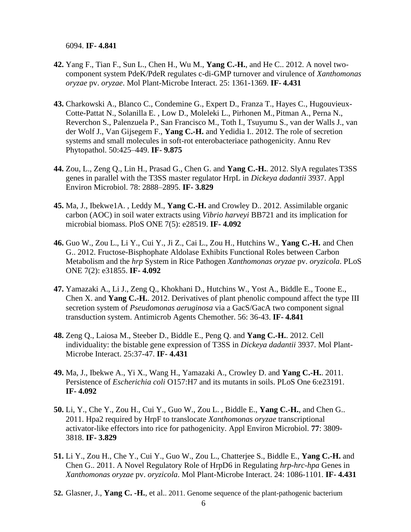6094. **IF- 4.841**

- **42.** Yang F., Tian F., Sun L., Chen H., Wu M., **Yang C.-H.**, and He C.. 2012. A novel twocomponent system PdeK/PdeR regulates c-di-GMP turnover and virulence of *Xanthomonas oryzae* pv. *oryzae*. Mol Plant-Microbe Interact. 25: 1361-1369. **IF- 4.431**
- **43.** Charkowski A., Blanco C., Condemine G., Expert D., Franza T., Hayes C., Hugouvieux-Cotte-Pattat N., Solanilla E. , Low D., Moleleki L., Pirhonen M., Pitman A., Perna N., Reverchon S., Palenzuela P., San Francisco M., Toth I., Tsuyumu S., van der Walls J., van der Wolf J., Van Gijsegem F., **Yang C.-H.** and Yedidia I.. 2012. The role of secretion systems and small molecules in soft-rot enterobacteriace pathogenicity. Annu Rev Phytopathol. 50:425–449. **IF- 9.875**
- **44.** Zou, L., Zeng Q., Lin H., Prasad G., Chen G. and **Yang C.-H.**. 2012. SlyA regulates T3SS genes in parallel with the T3SS master regulator HrpL in *Dickeya dadantii* 3937. Appl Environ Microbiol. 78: 2888–2895. **IF- 3.829**
- **45.** Ma, J., Ibekwe1A. , Leddy M., **Yang C.-H.** and Crowley D.. 2012. Assimilable organic carbon (AOC) in soil water extracts using *Vibrio harveyi* BB721 and its implication for microbial biomass. PloS ONE 7(5): e28519. **IF- 4.092**
- **46.** Guo W., Zou L., Li Y., Cui Y., Ji Z., Cai L., Zou H., Hutchins W., **Yang C.-H.** and Chen G.. 2012. Fructose-Bisphophate Aldolase Exhibits Functional Roles between Carbon Metabolism and the *hrp* System in Rice Pathogen *Xanthomonas oryzae* pv. *oryzicola*. PLoS ONE 7(2): e31855. **IF- 4.092**
- **47.** Yamazaki A., Li J., Zeng Q., Khokhani D., Hutchins W., Yost A., Biddle E., Toone E., Chen X. and **Yang C.-H.**. 2012. Derivatives of plant phenolic compound affect the type III secretion system of *Pseudomonas aeruginosa* via a GacS/GacA two component signal transduction system. Antimicrob Agents Chemother. 56: 36-43. **IF- 4.841**
- **48.** Zeng Q., Laiosa M., Steeber D., Biddle E., Peng Q. and **Yang C.-H.**. 2012. Cell individuality: the bistable gene expression of T3SS in *Dickeya dadantii* 3937. Mol Plant-Microbe Interact. 25:37-47. **IF- 4.431**
- **49.** Ma, J., Ibekwe A., Yi X., Wang H., Yamazaki A., Crowley D. and **Yang C.-H.**. 2011. Persistence of *Escherichia coli* O157:H7 and its mutants in soils. PLoS One 6:e23191. **IF- 4.092**
- **50.** Li, Y., Che Y., Zou H., Cui Y., Guo W., Zou L. , Biddle E., **Yang C.-H.**, and Chen G.. 2011. Hpa2 required by HrpF to translocate *Xanthomonas oryzae* transcriptional activator-like effectors into rice for pathogenicity. Appl Environ Microbiol. **77**: 3809- 3818. **IF- 3.829**
- **51.** Li Y., Zou H., Che Y., Cui Y., Guo W., Zou L., Chatterjee S., Biddle E., **Yang C.-H.** and Chen G.. 2011. A Novel Regulatory Role of HrpD6 in Regulating *hrp-hrc-hpa* Genes in *Xanthomonas oryzae* pv. *oryzicola*. Mol Plant-Microbe Interact. 24: 1086-1101. **IF- 4.431**
- **52.** Glasner, J., **Yang C. -H.**, et al.. 2011. Genome sequence of the plant-pathogenic bacterium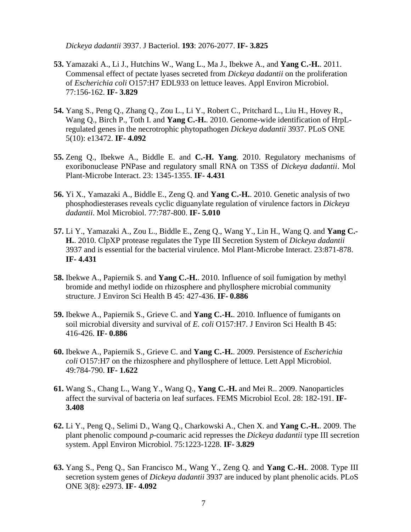*Dickeya dadantii* 3937. J Bacteriol. **193**: 2076-2077. **IF- 3.825**

- **53.** Yamazaki A., Li J., Hutchins W., Wang L., Ma J., Ibekwe A., and **Yang C.-H.**. 2011. Commensal effect of pectate lyases secreted from *Dickeya dadantii* on the proliferation of *Escherichia coli* O157:H7 EDL933 on lettuce leaves. Appl Environ Microbiol. 77:156-162. **IF- 3.829**
- **54.** Yang S., Peng Q., Zhang Q., Zou L., Li Y., Robert C., Pritchard L., Liu H., Hovey R., Wang Q., Birch P., Toth I. and **Yang C.-H.**. 2010. Genome-wide identification of HrpLregulated genes in the necrotrophic phytopathogen *Dickeya dadantii* 3937. PLoS ONE 5(10): e13472. **IF- 4.092**
- **55.** Zeng Q., Ibekwe A., Biddle E. and **C.-H. Yang**. 2010. Regulatory mechanisms of exoribonuclease PNPase and regulatory small RNA on T3SS of *Dickeya dadantii*. Mol Plant-Microbe Interact. 23: 1345-1355. **IF- 4.431**
- **56.** Yi X., Yamazaki A., Biddle E., Zeng Q. and **Yang C.-H.**. 2010. Genetic analysis of two phosphodiesterases reveals cyclic diguanylate regulation of virulence factors in *Dickeya dadantii*. Mol Microbiol. 77:787-800. **IF- 5.010**
- **57.** Li Y., Yamazaki A., Zou L., Biddle E., Zeng Q., Wang Y., Lin H., Wang Q. and **Yang C.- H.**. 2010. ClpXP protease regulates the Type III Secretion System of *Dickeya dadantii*  3937 and is essential for the bacterial virulence. Mol Plant-Microbe Interact. 23:871-878. **IF- 4.431**
- **58.** Ibekwe A., Papiernik S. and **Yang C.-H.**. 2010. Influence of soil fumigation by methyl bromide and methyl iodide on rhizosphere and phyllosphere microbial community structure. J Environ Sci Health B 45: 427-436. **IF- 0.886**
- **59.** Ibekwe A., Papiernik S., Grieve C. and **Yang C.-H.**. 2010. Influence of fumigants on soil microbial diversity and survival of *E. coli* O157:H7. J Environ Sci Health B 45: 416-426. **IF- 0.886**
- **60.** Ibekwe A., Papiernik S., Grieve C. and **Yang C.-H.**. 2009. Persistence of *Escherichia coli* O157:H7 on the rhizosphere and phyllosphere of lettuce. Lett Appl Microbiol. 49:784-790. **IF- 1.622**
- **61.** Wang S., Chang L., Wang Y., Wang Q., **Yang C.-H.** and Mei R.. 2009. Nanoparticles affect the survival of bacteria on leaf surfaces. FEMS Microbiol Ecol. 28: 182-191. **IF-3.408**
- **62.** Li Y., Peng Q., Selimi D., Wang Q., Charkowski A., Chen X. and **Yang C.-H.**. 2009. The plant phenolic compound *p*-coumaric acid represses the *Dickeya dadantii* type III secretion system. Appl Environ Microbiol. 75:1223-1228. **IF- 3.829**
- **63.** Yang S., Peng Q., San Francisco M., Wang Y., Zeng Q. and **Yang C.-H.**. 2008. Type III secretion system genes of *Dickeya dadantii* 3937 are induced by plant phenolic acids. PLoS ONE 3(8): e2973. **IF- 4.092**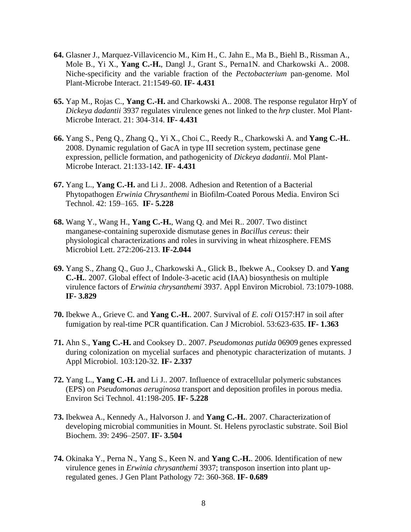- **64.** Glasner J., Marquez-Villavicencio M., Kim H., C. Jahn E., Ma B., Biehl B., Rissman A., Mole B., Yi X., **Yang C.-H.**, Dangl J., Grant S., Perna1N. and Charkowski A.. 2008. Niche-specificity and the variable fraction of the *Pectobacterium* pan-genome. Mol Plant-Microbe Interact. 21:1549-60. **IF- 4.431**
- **65.** Yap M., Rojas C., **Yang C.-H.** and Charkowski A.. 2008. The response regulator HrpY of *Dickeya dadantii* 3937 regulates virulence genes not linked to the *hrp* cluster. Mol Plant-Microbe Interact. 21: 304-314. **IF- 4.431**
- **66.** Yang S., Peng Q., Zhang Q., Yi X., Choi C., Reedy R., Charkowski A. and **Yang C.-H.**. 2008. Dynamic regulation of GacA in type III secretion system, pectinase gene expression, pellicle formation, and pathogenicity of *Dickeya dadantii*. Mol Plant-Microbe Interact. 21:133-142. **IF- 4.431**
- **67.** Yang L., **Yang C.-H.** and Li J.. 2008. Adhesion and Retention of a Bacterial Phytopathogen *Erwinia Chrysanthemi* in Biofilm-Coated Porous Media. Environ Sci Technol. 42: 159–165. **IF- 5.228**
- **68.** Wang Y., Wang H., **Yang C.-H.**, Wang Q. and Mei R.. 2007. Two distinct manganese-containing superoxide dismutase genes in *Bacillus cereus*: their physiological characterizations and roles in surviving in wheat rhizosphere. FEMS Microbiol Lett. 272:206-213. **IF-2.044**
- **69.** Yang S., Zhang Q., Guo J., Charkowski A., Glick B., Ibekwe A., Cooksey D. and **Yang C.-H.**. 2007. Global effect of Indole-3-acetic acid (IAA) biosynthesis on multiple virulence factors of *Erwinia chrysanthemi* 3937. Appl Environ Microbiol. 73:1079-1088. **IF- 3.829**
- **70.** Ibekwe A., Grieve C. and **Yang C.-H.**. 2007. Survival of *E. coli* O157:H7 in soil after fumigation by real-time PCR quantification. Can J Microbiol. 53:623-635. **IF- 1.363**
- **71.** Ahn S., **Yang C.-H.** and Cooksey D.. 2007. *Pseudomonas putida* 06909 genes expressed during colonization on mycelial surfaces and phenotypic characterization of mutants. J Appl Microbiol. 103:120-32. **IF- 2.337**
- **72.** Yang L., **Yang C.-H.** and Li J.. 2007. Influence of extracellular polymeric substances (EPS) on *Pseudomonas aeruginosa* transport and deposition profiles in porous media. Environ Sci Technol. 41:198-205. **IF- 5.228**
- **73.** Ibekwea A., Kennedy A., Halvorson J. and **Yang C.-H.**. 2007. Characterization of developing microbial communities in Mount. St. Helens pyroclastic substrate. Soil Biol Biochem. 39: 2496–2507. **IF- 3.504**
- **74.** Okinaka Y., Perna N., Yang S., Keen N. and **Yang C.-H.**. 2006. Identification of new virulence genes in *Erwinia chrysanthemi* 3937; transposon insertion into plant upregulated genes. J Gen Plant Pathology 72: 360-368. **IF- 0.689**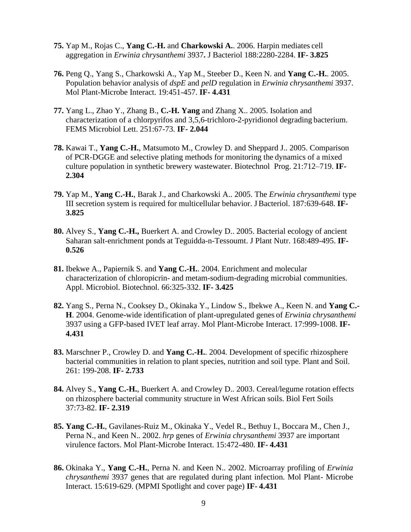- **75.** Yap M., Rojas C., **Yang C.-H.** and **Charkowski A.**. 2006. Harpin mediates cell aggregation in *Erwinia chrysanthemi* 3937**.** J Bacteriol 188:2280-2284. **IF- 3.825**
- **76.** Peng Q., Yang S., Charkowski A., Yap M., Steeber D., Keen N. and **Yang C.-H.**. 2005. Population behavior analysis of *dspE* and *pelD* regulation in *Erwinia chrysanthemi* 3937. Mol Plant-Microbe Interact. 19:451-457. **IF- 4.431**
- **77.** Yang L., Zhao Y., Zhang B., **C.-H. Yang** and Zhang X.. 2005. Isolation and characterization of a chlorpyrifos and 3,5,6-trichloro-2-pyridionol degrading bacterium. FEMS Microbiol Lett. 251:67-73. **IF- 2.044**
- **78.** Kawai T., **Yang C.-H.**, Matsumoto M., Crowley D. and Sheppard J.. 2005. Comparison of PCR-DGGE and selective plating methods for monitoring the dynamics of a mixed culture population in synthetic brewery wastewater. Biotechnol Prog. 21:712–719. **IF-2.304**
- **79.** Yap M., **Yang C.-H.**, Barak J., and Charkowski A.. 2005. The *Erwinia chrysanthemi* type III secretion system is required for multicellular behavior. JBacteriol. 187:639-648. **IF-3.825**
- **80.** Alvey S., **Yang C.-H.,** Buerkert A. and Crowley D.. 2005. Bacterial ecology of ancient Saharan salt-enrichment ponds at Teguidda-n-Tessoumt. J Plant Nutr. 168:489-495. **IF-0.526**
- **81.** Ibekwe A., Papiernik S. and **Yang C.-H.**. 2004. Enrichment and molecular characterization of chloropicrin- and metam-sodium-degrading microbial communities. Appl. Microbiol. Biotechnol. 66:325-332. **IF- 3.425**
- **82.** Yang S., Perna N., Cooksey D., Okinaka Y., Lindow S., Ibekwe A., Keen N. and **Yang C.- H**. 2004. Genome-wide identification of plant-upregulated genes of *Erwinia chrysanthemi*  3937 using a GFP-based IVET leaf array. Mol Plant-Microbe Interact. 17:999-1008. **IF-4.431**
- **83.** Marschner P., Crowley D. and **Yang C.-H.**. 2004. Development of specific rhizosphere bacterial communities in relation to plant species, nutrition and soil type. Plant and Soil. 261: 199-208. **IF- 2.733**
- **84.** Alvey S., **Yang C.-H.**, Buerkert A. and Crowley D.. 2003. Cereal/legume rotation effects on rhizosphere bacterial community structure in West African soils. Biol Fert Soils 37:73-82. **IF- 2.319**
- **85. Yang C.-H.**, Gavilanes-Ruiz M., Okinaka Y., Vedel R., Bethuy I., Boccara M., Chen J., Perna N., and Keen N.. 2002. *hrp* genes of *Erwinia chrysanthemi* 3937 are important virulence factors. Mol Plant-Microbe Interact. 15:472-480. **IF- 4.431**
- **86.** Okinaka Y., **Yang C.-H.**, Perna N. and Keen N.. 2002. Microarray profiling of *Erwinia chrysanthemi* 3937 genes that are regulated during plant infection. Mol Plant- Microbe Interact. 15:619-629. (MPMI Spotlight and cover page) **IF- 4.431**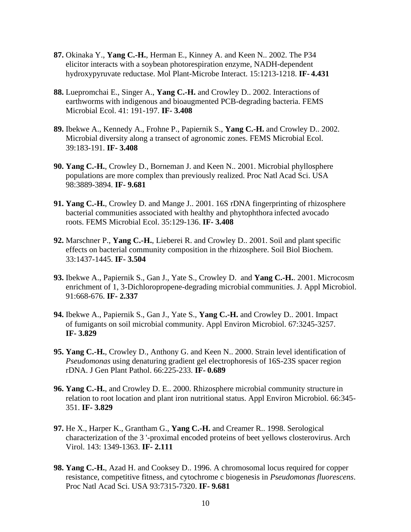- **87.** Okinaka Y., **Yang C.-H.**, Herman E., Kinney A. and Keen N.. 2002. The P34 elicitor interacts with a soybean photorespiration enzyme, NADH-dependent hydroxypyruvate reductase. Mol Plant-Microbe Interact. 15:1213-1218. **IF- 4.431**
- **88.** Luepromchai E., Singer A., **Yang C.-H.** and Crowley D.. 2002. Interactions of earthworms with indigenous and bioaugmented PCB-degrading bacteria. FEMS Microbial Ecol. 41: 191-197. **IF- 3.408**
- **89.** Ibekwe A., Kennedy A., Frohne P., Papiernik S., **Yang C.-H.** and Crowley D.. 2002. Microbial diversity along a transect of agronomic zones. FEMS Microbial Ecol. 39:183-191. **IF- 3.408**
- **90. Yang C.-H.**, Crowley D., Borneman J. and Keen N.. 2001. Microbial phyllosphere populations are more complex than previously realized. Proc Natl Acad Sci. USA 98:3889-3894. **IF- 9.681**
- **91. Yang C.-H.**, Crowley D. and Mange J.. 2001. 16S rDNA fingerprinting of rhizosphere bacterial communities associated with healthy and phytophthora infected avocado roots. FEMS Microbial Ecol. 35:129-136. **IF- 3.408**
- **92.** Marschner P., **Yang C.-H.**, Lieberei R. and Crowley D.. 2001. Soil and plant specific effects on bacterial community composition in the rhizosphere. Soil Biol Biochem. 33:1437-1445. **IF- 3.504**
- **93.** Ibekwe A., Papiernik S., Gan J., Yate S., Crowley D. and **Yang C.-H.**. 2001. Microcosm enrichment of 1, 3-Dichloropropene-degrading microbial communities. J. Appl Microbiol. 91:668-676. **IF- 2.337**
- **94.** Ibekwe A., Papiernik S., Gan J., Yate S., **Yang C.-H.** and Crowley D.. 2001. Impact of fumigants on soil microbial community. Appl Environ Microbiol. 67:3245-3257. **IF- 3.829**
- **95. Yang C.-H.**, Crowley D., Anthony G. and Keen N.. 2000. Strain level identification of *Pseudomonas* using denaturing gradient gel electrophoresis of 16S-23S spacer region rDNA. J Gen Plant Pathol. 66:225-233. **IF- 0.689**
- **96. Yang C.-H.**, and Crowley D. E.. 2000. Rhizosphere microbial community structure in relation to root location and plant iron nutritional status. Appl Environ Microbiol. 66:345- 351. **IF- 3.829**
- **97.** He X., Harper K., Grantham G., **Yang C.-H.** and Creamer R.. 1998. Serological characterization of the 3 '-proximal encoded proteins of beet yellows closterovirus. Arch Virol. 143: 1349-1363. **IF- 2.111**
- **98. Yang C.-H.**, Azad H. and Cooksey D.. 1996. A chromosomal locus required for copper resistance, competitive fitness, and cytochrome c biogenesis in *Pseudomonas fluorescens*. Proc Natl Acad Sci. USA 93:7315-7320. **IF- 9.681**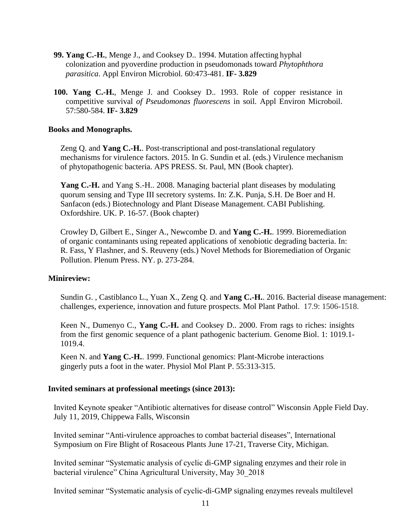- **99. Yang C.-H.**, Menge J., and Cooksey D.. 1994. Mutation affecting hyphal colonization and pyoverdine production in pseudomonads toward *Phytophthora parasitica*. Appl Environ Microbiol. 60:473-481. **IF- 3.829**
- **100. Yang C.-H.**, Menge J. and Cooksey D.. 1993. Role of copper resistance in competitive survival *of Pseudomonas fluorescens* in soil. Appl Environ Microboil. 57:580-584. **IF- 3.829**

### **Books and Monographs.**

Zeng Q. and **Yang C.-H.**. Post-transcriptional and post-translational regulatory mechanisms for virulence factors. 2015. In G. Sundin et al. (eds.) Virulence mechanism of phytopathogenic bacteria. APS PRESS. St. Paul, MN (Book chapter).

**Yang C.-H.** and Yang S.-H.. 2008. Managing bacterial plant diseases by modulating quorum sensing and Type III secretory systems. In: Z.K. Punja, S.H. De Boer and H. Sanfacon (eds.) Biotechnology and Plant Disease Management. CABI Publishing. Oxfordshire. UK. P. 16-57. (Book chapter)

Crowley D, Gilbert E., Singer A., Newcombe D. and **Yang C.-H.**. 1999. Bioremediation of organic contaminants using repeated applications of xenobiotic degrading bacteria. In: R. Fass, Y Flashner, and S. Reuveny (eds.) Novel Methods for Bioremediation of Organic Pollution. Plenum Press. NY. p. 273-284.

#### **Minireview:**

Sundin G. , Castiblanco L., Yuan X., Zeng Q. and **Yang C.-H.**. 2016. Bacterial disease management: challenges, experience, innovation and future prospects. Mol Plant Pathol. 17.9: 1506-1518.

Keen N., Dumenyo C., **Yang C.-H.** and Cooksey D.. 2000. From rags to riches: insights from the first genomic sequence of a plant pathogenic bacterium. Genome Biol. 1: 1019.1- 1019.4.

Keen N. and **Yang C.-H.**. 1999. Functional genomics: Plant-Microbe interactions gingerly puts a foot in the water. Physiol Mol Plant P. 55:313-315.

#### **Invited seminars at professional meetings (since 2013):**

Invited Keynote speaker "Antibiotic alternatives for disease control" Wisconsin Apple Field Day. July 11, 2019, Chippewa Falls, Wisconsin

Invited seminar "Anti-virulence approaches to combat bacterial diseases", International Symposium on Fire Blight of Rosaceous Plants June 17-21, Traverse City, Michigan.

Invited seminar "Systematic analysis of cyclic di-GMP signaling enzymes and their role in bacterial virulence" China Agricultural University, May 30\_2018

Invited seminar "Systematic analysis of cyclic-di-GMP signaling enzymes reveals multilevel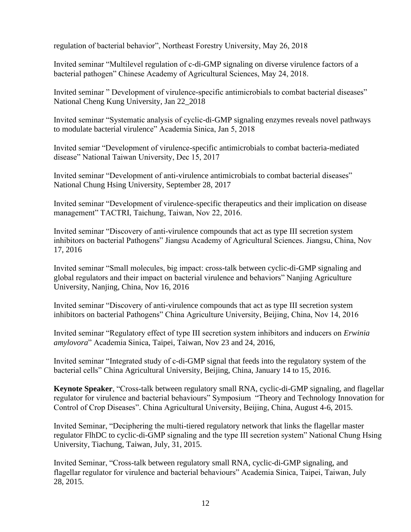regulation of bacterial behavior", Northeast Forestry University, May 26, 2018

Invited seminar "Multilevel regulation of c-di-GMP signaling on diverse virulence factors of a bacterial pathogen" Chinese Academy of Agricultural Sciences, May 24, 2018.

Invited seminar " Development of virulence-specific antimicrobials to combat bacterial diseases" National Cheng Kung University, Jan 22\_2018

Invited seminar "Systematic analysis of cyclic-di-GMP signaling enzymes reveals novel pathways to modulate bacterial virulence" Academia Sinica, Jan 5, 2018

Invited semiar "Development of virulence-specific antimicrobials to combat bacteria-mediated disease" National Taiwan University, Dec 15, 2017

Invited seminar "Development of anti-virulence antimicrobials to combat bacterial diseases" National Chung Hsing University, September 28, 2017

Invited seminar "Development of virulence-specific therapeutics and their implication on disease management" TACTRI, Taichung, Taiwan, Nov 22, 2016.

Invited seminar "Discovery of anti-virulence compounds that act as type III secretion system inhibitors on bacterial Pathogens" Jiangsu Academy of Agricultural Sciences. Jiangsu, China, Nov 17, 2016

Invited seminar "Small molecules, big impact: cross-talk between cyclic-di-GMP signaling and global regulators and their impact on bacterial virulence and behaviors" Nanjing Agriculture University, Nanjing, China, Nov 16, 2016

Invited seminar "Discovery of anti-virulence compounds that act as type III secretion system inhibitors on bacterial Pathogens" China Agriculture University, Beijing, China, Nov 14, 2016

Invited seminar "Regulatory effect of type III secretion system inhibitors and inducers on *Erwinia amylovora*" Academia Sinica, Taipei, Taiwan, Nov 23 and 24, 2016,

Invited seminar "Integrated study of c-di-GMP signal that feeds into the regulatory system of the bacterial cells" China Agricultural University, Beijing, China, January 14 to 15, 2016.

**Keynote Speaker**, "Cross-talk between regulatory small RNA, cyclic-di-GMP signaling, and flagellar regulator for virulence and bacterial behaviours" Symposium "Theory and Technology Innovation for Control of Crop Diseases". China Agricultural University, Beijing, China, August 4-6, 2015.

Invited Seminar, "Deciphering the multi-tiered regulatory network that links the flagellar master regulator FlhDC to cyclic-di-GMP signaling and the type III secretion system" National Chung Hsing University, Tiachung, Taiwan, July, 31, 2015.

Invited Seminar, "Cross-talk between regulatory small RNA, cyclic-di-GMP signaling, and flagellar regulator for virulence and bacterial behaviours" Academia Sinica, Taipei, Taiwan, July 28, 2015.